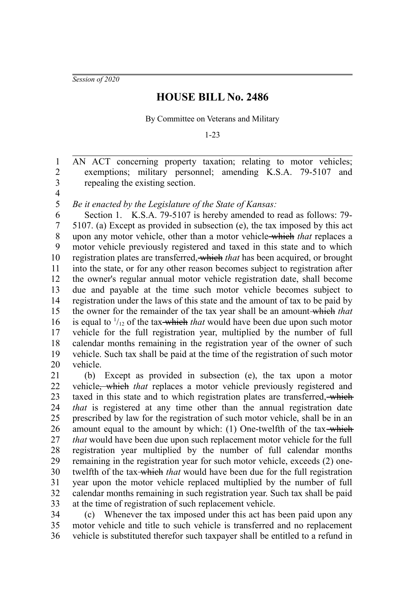*Session of 2020*

## **HOUSE BILL No. 2486**

By Committee on Veterans and Military

1-23

AN ACT concerning property taxation; relating to motor vehicles; exemptions; military personnel; amending K.S.A. 79-5107 and repealing the existing section. 2 3

4 5

1

*Be it enacted by the Legislature of the State of Kansas:*

Section 1. K.S.A. 79-5107 is hereby amended to read as follows: 79- 5107. (a) Except as provided in subsection (e), the tax imposed by this act upon any motor vehicle, other than a motor vehicle which *that* replaces a motor vehicle previously registered and taxed in this state and to which registration plates are transferred, which *that* has been acquired, or brought into the state, or for any other reason becomes subject to registration after the owner's regular annual motor vehicle registration date, shall become due and payable at the time such motor vehicle becomes subject to registration under the laws of this state and the amount of tax to be paid by the owner for the remainder of the tax year shall be an amount which *that* is equal to  $\frac{1}{12}$  of the tax-which *that* would have been due upon such motor vehicle for the full registration year, multiplied by the number of full calendar months remaining in the registration year of the owner of such vehicle. Such tax shall be paid at the time of the registration of such motor vehicle. 6 7 8 9 10 11 12 13 14 15 16 17 18 19 20

(b) Except as provided in subsection (e), the tax upon a motor vehicle, which *that* replaces a motor vehicle previously registered and taxed in this state and to which registration plates are transferred, which *that* is registered at any time other than the annual registration date prescribed by law for the registration of such motor vehicle, shall be in an amount equal to the amount by which: (1) One-twelfth of the tax-which *that* would have been due upon such replacement motor vehicle for the full registration year multiplied by the number of full calendar months remaining in the registration year for such motor vehicle, exceeds (2) onetwelfth of the tax-which *that* would have been due for the full registration year upon the motor vehicle replaced multiplied by the number of full calendar months remaining in such registration year. Such tax shall be paid at the time of registration of such replacement vehicle. 21 22 23 24 25 26 27 28 29 30 31 32 33

(c) Whenever the tax imposed under this act has been paid upon any motor vehicle and title to such vehicle is transferred and no replacement vehicle is substituted therefor such taxpayer shall be entitled to a refund in 34 35 36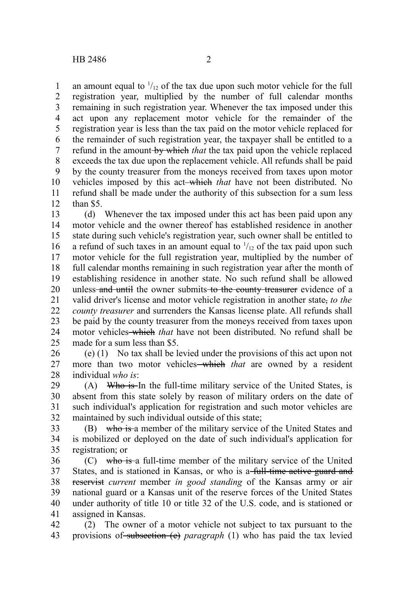an amount equal to  $\frac{1}{12}$  of the tax due upon such motor vehicle for the full registration year, multiplied by the number of full calendar months remaining in such registration year. Whenever the tax imposed under this act upon any replacement motor vehicle for the remainder of the registration year is less than the tax paid on the motor vehicle replaced for the remainder of such registration year, the taxpayer shall be entitled to a refund in the amount by which *that* the tax paid upon the vehicle replaced exceeds the tax due upon the replacement vehicle. All refunds shall be paid by the county treasurer from the moneys received from taxes upon motor vehicles imposed by this act which *that* have not been distributed. No refund shall be made under the authority of this subsection for a sum less than \$5. 1 2 3 4 5 6 7 8 9 10 11 12

(d) Whenever the tax imposed under this act has been paid upon any motor vehicle and the owner thereof has established residence in another state during such vehicle's registration year, such owner shall be entitled to a refund of such taxes in an amount equal to  $\frac{1}{12}$  of the tax paid upon such motor vehicle for the full registration year, multiplied by the number of full calendar months remaining in such registration year after the month of establishing residence in another state. No such refund shall be allowed unless and until the owner submits to the county treasurer evidence of a valid driver's license and motor vehicle registration in another state, *to the county treasurer* and surrenders the Kansas license plate. All refunds shall be paid by the county treasurer from the moneys received from taxes upon motor vehicles which *that* have not been distributed. No refund shall be made for a sum less than \$5. 13 14 15 16 17 18 19 20 21 22 23 24  $25$ 

(e) (1) No tax shall be levied under the provisions of this act upon not more than two motor vehicles<del> which</del> that are owned by a resident individual *who is*: 26 27 28

 $(A)$  Who is In the full-time military service of the United States, is absent from this state solely by reason of military orders on the date of such individual's application for registration and such motor vehicles are maintained by such individual outside of this state; 29 30 31 32

(B) who is a member of the military service of the United States and is mobilized or deployed on the date of such individual's application for registration; or 33 34 35

(C) who is a full-time member of the military service of the United States, and is stationed in Kansas, or who is a full-time active guard and reservist *current* member *in good standing* of the Kansas army or air national guard or a Kansas unit of the reserve forces of the United States under authority of title 10 or title 32 of the U.S. code, and is stationed or assigned in Kansas. 36 37 38 39 40 41

(2) The owner of a motor vehicle not subject to tax pursuant to the provisions of subsection (e) *paragraph* (1) who has paid the tax levied 42 43